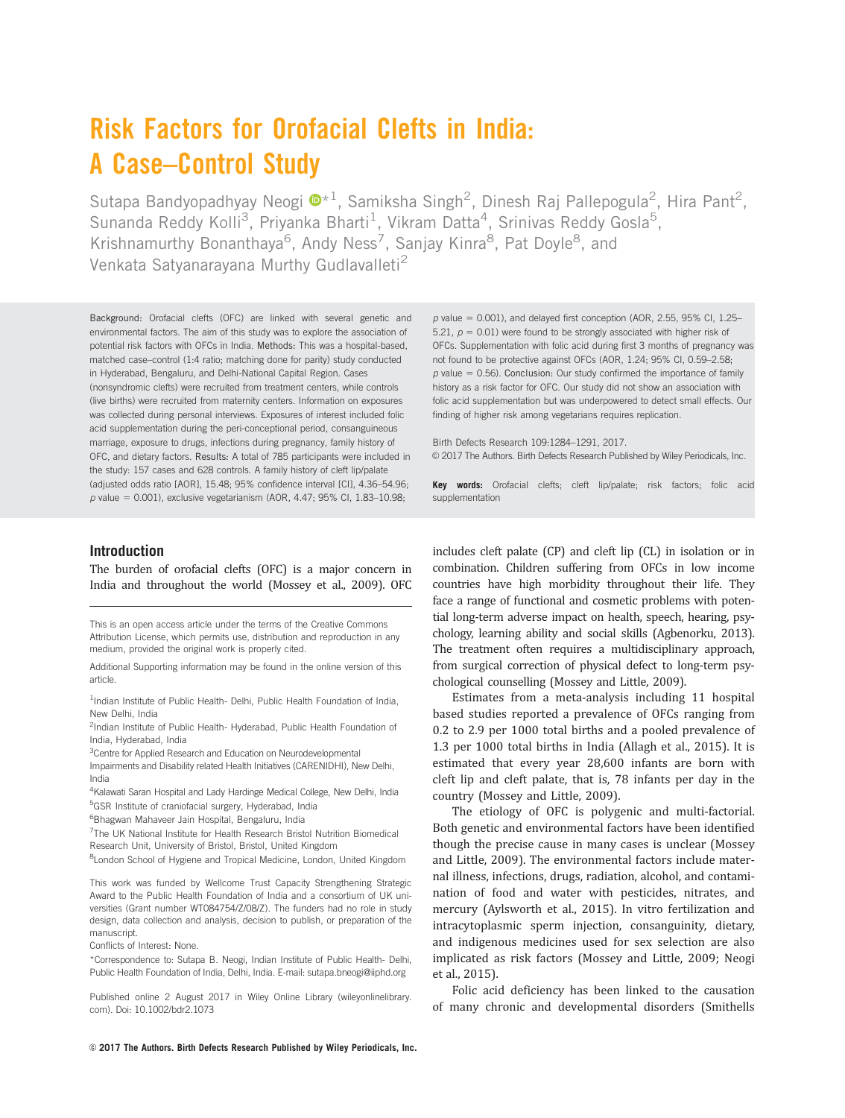# Risk Factors for Orofacial Clefts in India: A Case–Control Study

Sutapa Bandyopadhyay Neogi  $\mathbf{D}^{*1}$  $\mathbf{D}^{*1}$  $\mathbf{D}^{*1}$ , Samiksha Singh<sup>2</sup>, Dinesh Raj Pallepogula<sup>2</sup>, Hira Pant<sup>2</sup>, Sunanda Reddy Kolli<sup>3</sup>, Priyanka Bharti<sup>1</sup>, Vikram Datta<sup>4</sup>, Srinivas Reddy Gosla<sup>5</sup>, Krishnamurthy Bonanthaya<sup>6</sup>, Andy Ness<sup>7</sup>, Sanjay Kinra<sup>8</sup>, Pat Doyle<sup>8</sup>, and Venkata Satyanarayana Murthy Gudlavalleti<sup>2</sup>

Background: Orofacial clefts (OFC) are linked with several genetic and environmental factors. The aim of this study was to explore the association of potential risk factors with OFCs in India. Methods: This was a hospital-based, matched case–control (1:4 ratio; matching done for parity) study conducted in Hyderabad, Bengaluru, and Delhi-National Capital Region. Cases (nonsyndromic clefts) were recruited from treatment centers, while controls (live births) were recruited from maternity centers. Information on exposures was collected during personal interviews. Exposures of interest included folic acid supplementation during the peri-conceptional period, consanguineous marriage, exposure to drugs, infections during pregnancy, family history of OFC, and dietary factors. Results: A total of 785 participants were included in the study: 157 cases and 628 controls. A family history of cleft lip/palate (adjusted odds ratio [AOR], 15.48; 95% confidence interval [CI], 4.36–54.96;  $p$  value = 0.001), exclusive vegetarianism (AOR, 4.47; 95% CI, 1.83–10.98;

 $p$  value = 0.001), and delayed first conception (AOR, 2.55, 95% CI, 1.25– 5.21,  $p = 0.01$ ) were found to be strongly associated with higher risk of OFCs. Supplementation with folic acid during first 3 months of pregnancy was not found to be protective against OFCs (AOR, 1.24; 95% CI, 0.59–2.58;  $p$  value = 0.56). Conclusion: Our study confirmed the importance of family history as a risk factor for OFC. Our study did not show an association with folic acid supplementation but was underpowered to detect small effects. Our finding of higher risk among vegetarians requires replication.

Birth Defects Research 109:1284–1291, 2017.  $\degree$  2017 The Authors. Birth Defects Research Published by Wiley Periodicals, Inc.

Key words: Orofacial clefts; cleft lip/palate; risk factors; folic acid supplementation

# Introduction

The burden of orofacial clefts (OFC) is a major concern in India and throughout the world (Mossey et al., 2009). OFC

This is an open access article under the terms of the [Creative Commons](http://creativecommons.org/licenses/by/4.0/) [Attribution](http://creativecommons.org/licenses/by/4.0/) License, which permits use, distribution and reproduction in any medium, provided the original work is properly cited.

Additional Supporting information may be found in the online version of this article.

<sup>1</sup>Indian Institute of Public Health- Delhi, Public Health Foundation of India, New Delhi, India

<sup>2</sup>Indian Institute of Public Health- Hyderabad, Public Health Foundation of India, Hyderabad, India

<sup>3</sup>Centre for Applied Research and Education on Neurodevelopmental

Impairments and Disability related Health Initiatives (CARENIDHI), New Delhi, India

<sup>4</sup>Kalawati Saran Hospital and Lady Hardinge Medical College, New Delhi, India <sup>5</sup>GSR Institute of craniofacial surgery, Hyderabad, India

6 Bhagwan Mahaveer Jain Hospital, Bengaluru, India

<sup>7</sup>The UK National Institute for Health Research Bristol Nutrition Biomedical Research Unit, University of Bristol, Bristol, United Kingdom

<sup>8</sup>London School of Hygiene and Tropical Medicine, London, United Kingdom

This work was funded by Wellcome Trust Capacity Strengthening Strategic Award to the Public Health Foundation of India and a consortium of UK universities (Grant number WT084754/Z/08/Z). The funders had no role in study design, data collection and analysis, decision to publish, or preparation of the manuscript.

Conflicts of Interest: None.

\*Correspondence to: Sutapa B. Neogi, Indian Institute of Public Health- Delhi, Public Health Foundation of India, Delhi, India. E-mail: sutapa.bneogi@iiphd.org

Published online 2 August 2017 in Wiley Online Library (wileyonlinelibrary. com). Doi: 10.1002/bdr2.1073

includes cleft palate (CP) and cleft lip (CL) in isolation or in combination. Children suffering from OFCs in low income countries have high morbidity throughout their life. They face a range of functional and cosmetic problems with potential long-term adverse impact on health, speech, hearing, psychology, learning ability and social skills (Agbenorku, 2013). The treatment often requires a multidisciplinary approach, from surgical correction of physical defect to long-term psychological counselling (Mossey and Little, 2009).

Estimates from a meta-analysis including 11 hospital based studies reported a prevalence of OFCs ranging from 0.2 to 2.9 per 1000 total births and a pooled prevalence of 1.3 per 1000 total births in India (Allagh et al., 2015). It is estimated that every year 28,600 infants are born with cleft lip and cleft palate, that is, 78 infants per day in the country (Mossey and Little, 2009).

The etiology of OFC is polygenic and multi-factorial. Both genetic and environmental factors have been identified though the precise cause in many cases is unclear (Mossey and Little, 2009). The environmental factors include maternal illness, infections, drugs, radiation, alcohol, and contamination of food and water with pesticides, nitrates, and mercury (Aylsworth et al., 2015). In vitro fertilization and intracytoplasmic sperm injection, consanguinity, dietary, and indigenous medicines used for sex selection are also implicated as risk factors (Mossey and Little, 2009; Neogi et al., 2015).

Folic acid deficiency has been linked to the causation of many chronic and developmental disorders (Smithells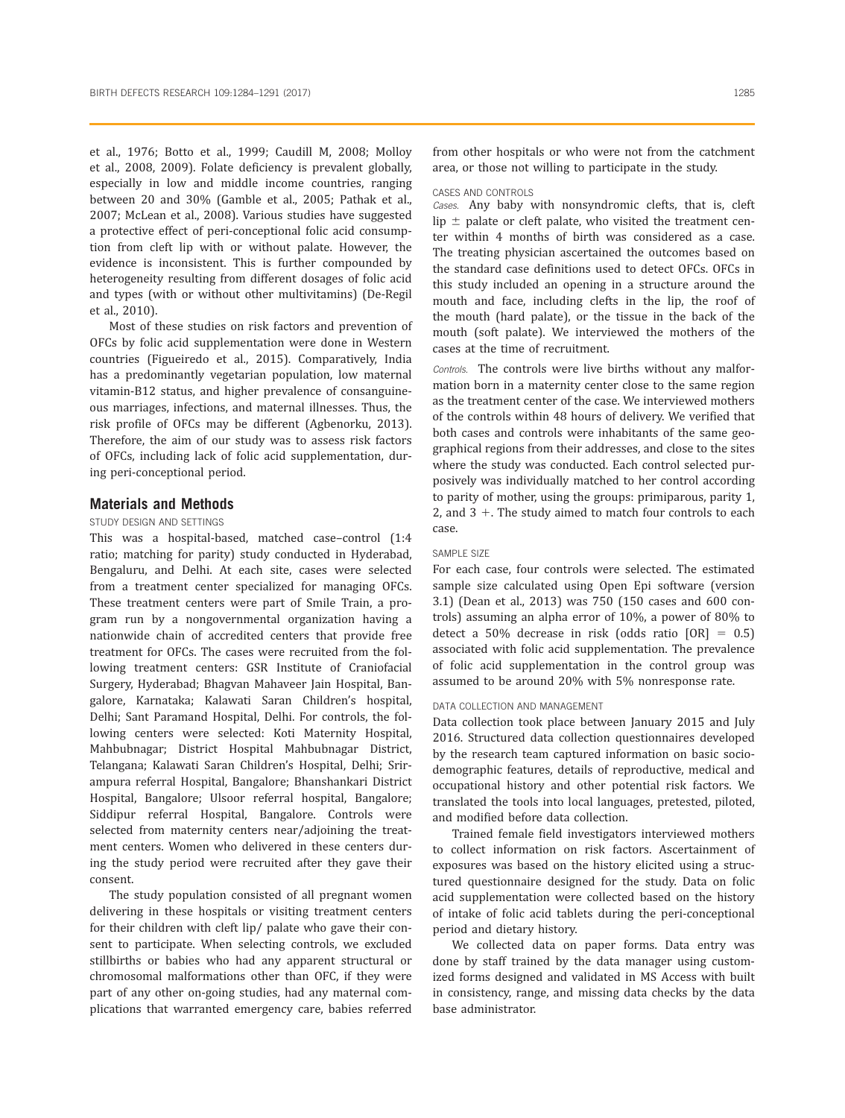et al., 1976; Botto et al., 1999; Caudill M, 2008; Molloy et al., 2008, 2009). Folate deficiency is prevalent globally, especially in low and middle income countries, ranging between 20 and 30% (Gamble et al., 2005; Pathak et al., 2007; McLean et al., 2008). Various studies have suggested a protective effect of peri-conceptional folic acid consumption from cleft lip with or without palate. However, the evidence is inconsistent. This is further compounded by heterogeneity resulting from different dosages of folic acid and types (with or without other multivitamins) (De-Regil et al., 2010).

Most of these studies on risk factors and prevention of OFCs by folic acid supplementation were done in Western countries (Figueiredo et al., 2015). Comparatively, India has a predominantly vegetarian population, low maternal vitamin-B12 status, and higher prevalence of consanguineous marriages, infections, and maternal illnesses. Thus, the risk profile of OFCs may be different (Agbenorku, 2013). Therefore, the aim of our study was to assess risk factors of OFCs, including lack of folic acid supplementation, during peri-conceptional period.

## Materials and Methods

#### STUDY DESIGN AND SETTINGS

This was a hospital-based, matched case–control (1:4 ratio; matching for parity) study conducted in Hyderabad, Bengaluru, and Delhi. At each site, cases were selected from a treatment center specialized for managing OFCs. These treatment centers were part of Smile Train, a program run by a nongovernmental organization having a nationwide chain of accredited centers that provide free treatment for OFCs. The cases were recruited from the following treatment centers: GSR Institute of Craniofacial Surgery, Hyderabad; Bhagvan Mahaveer Jain Hospital, Bangalore, Karnataka; Kalawati Saran Children's hospital, Delhi; Sant Paramand Hospital, Delhi. For controls, the following centers were selected: Koti Maternity Hospital, Mahbubnagar; District Hospital Mahbubnagar District, Telangana; Kalawati Saran Children's Hospital, Delhi; Srirampura referral Hospital, Bangalore; Bhanshankari District Hospital, Bangalore; Ulsoor referral hospital, Bangalore; Siddipur referral Hospital, Bangalore. Controls were selected from maternity centers near/adjoining the treatment centers. Women who delivered in these centers during the study period were recruited after they gave their consent.

The study population consisted of all pregnant women delivering in these hospitals or visiting treatment centers for their children with cleft lip/ palate who gave their consent to participate. When selecting controls, we excluded stillbirths or babies who had any apparent structural or chromosomal malformations other than OFC, if they were part of any other on-going studies, had any maternal complications that warranted emergency care, babies referred

from other hospitals or who were not from the catchment area, or those not willing to participate in the study.

#### CASES AND CONTROLS

Cases. Any baby with nonsyndromic clefts, that is, cleft lip  $\pm$  palate or cleft palate, who visited the treatment center within 4 months of birth was considered as a case. The treating physician ascertained the outcomes based on the standard case definitions used to detect OFCs. OFCs in this study included an opening in a structure around the mouth and face, including clefts in the lip, the roof of the mouth (hard palate), or the tissue in the back of the mouth (soft palate). We interviewed the mothers of the cases at the time of recruitment.

Controls. The controls were live births without any malformation born in a maternity center close to the same region as the treatment center of the case. We interviewed mothers of the controls within 48 hours of delivery. We verified that both cases and controls were inhabitants of the same geographical regions from their addresses, and close to the sites where the study was conducted. Each control selected purposively was individually matched to her control according to parity of mother, using the groups: primiparous, parity 1, 2, and  $3 +$ . The study aimed to match four controls to each case.

#### SAMPLE SIZE

For each case, four controls were selected. The estimated sample size calculated using Open Epi software (version 3.1) (Dean et al., 2013) was 750 (150 cases and 600 controls) assuming an alpha error of 10%, a power of 80% to detect a 50% decrease in risk (odds ratio  $[OR] = 0.5$ ) associated with folic acid supplementation. The prevalence of folic acid supplementation in the control group was assumed to be around 20% with 5% nonresponse rate.

#### DATA COLLECTION AND MANAGEMENT

Data collection took place between January 2015 and July 2016. Structured data collection questionnaires developed by the research team captured information on basic sociodemographic features, details of reproductive, medical and occupational history and other potential risk factors. We translated the tools into local languages, pretested, piloted, and modified before data collection.

Trained female field investigators interviewed mothers to collect information on risk factors. Ascertainment of exposures was based on the history elicited using a structured questionnaire designed for the study. Data on folic acid supplementation were collected based on the history of intake of folic acid tablets during the peri-conceptional period and dietary history.

We collected data on paper forms. Data entry was done by staff trained by the data manager using customized forms designed and validated in MS Access with built in consistency, range, and missing data checks by the data base administrator.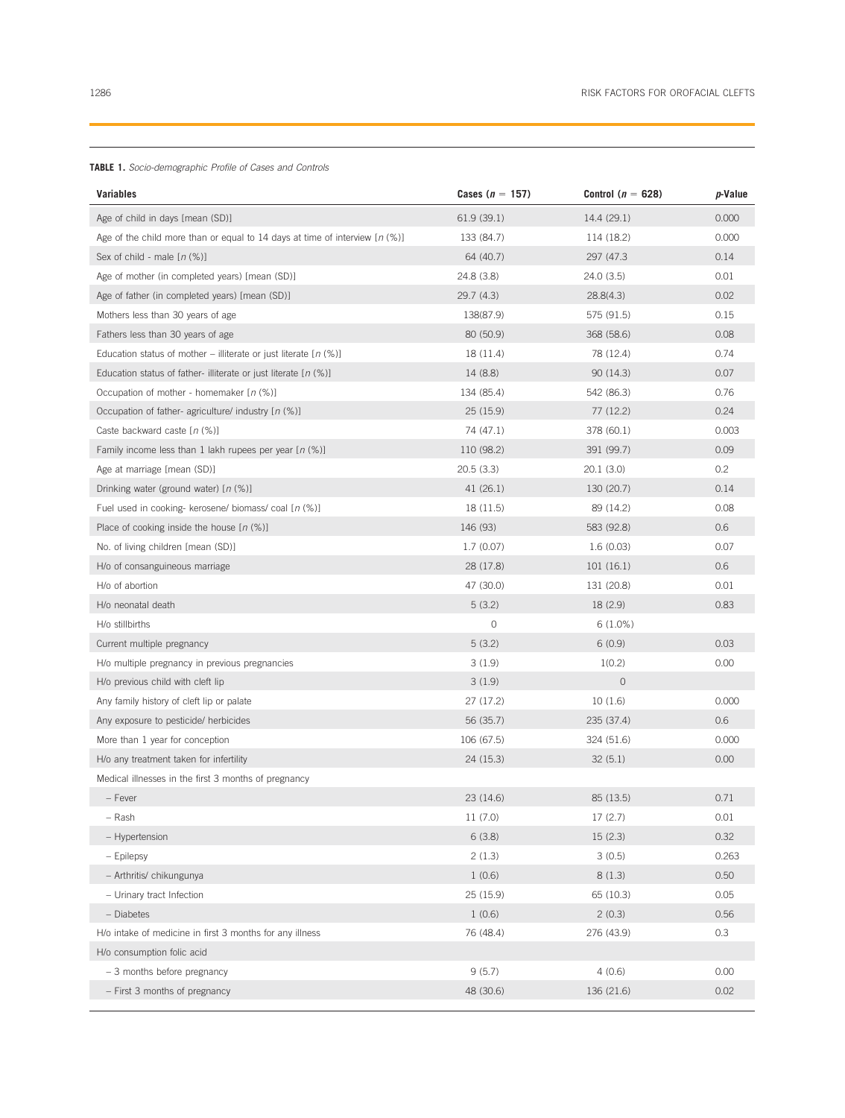TABLE 1. Socio-demographic Profile of Cases and Controls

| Variables                                                                        | Cases ( $n = 157$ ) | Control ( $n = 628$ ) | <i>p</i> -Value |
|----------------------------------------------------------------------------------|---------------------|-----------------------|-----------------|
| Age of child in days [mean (SD)]                                                 | 61.9(39.1)          | 14.4 (29.1)           | 0.000           |
| Age of the child more than or equal to 14 days at time of interview $[n \ (\%)]$ | 133 (84.7)          | 114 (18.2)            | 0.000           |
| Sex of child - male $[n (\%)]$                                                   | 64 (40.7)           | 297 (47.3)            | 0.14            |
| Age of mother (in completed years) [mean (SD)]                                   | 24.8 (3.8)          | 24.0 (3.5)            | 0.01            |
| Age of father (in completed years) [mean (SD)]                                   | 29.7 (4.3)          | 28.8(4.3)             | 0.02            |
| Mothers less than 30 years of age                                                | 138(87.9)           | 575 (91.5)            | 0.15            |
| Fathers less than 30 years of age                                                | 80 (50.9)           | 368 (58.6)            | 0.08            |
| Education status of mother – illiterate or just literate $[n \, (%)]$            | 18 (11.4)           | 78 (12.4)             | 0.74            |
| Education status of father- illiterate or just literate $[n \, (\%)]$            | 14 (8.8)            | 90 (14.3)             | 0.07            |
| Occupation of mother - homemaker $[n \ (\%)]$                                    | 134 (85.4)          | 542 (86.3)            | 0.76            |
| Occupation of father- agriculture/ industry $[n (\%)]$                           | 25 (15.9)           | 77 (12.2)             | 0.24            |
| Caste backward caste [n (%)]                                                     | 74 (47.1)           | 378 (60.1)            | 0.003           |
| Family income less than 1 lakh rupees per year $[n \, (\%)]$                     | 110 (98.2)          | 391 (99.7)            | 0.09            |
| Age at marriage [mean (SD)]                                                      | 20.5 (3.3)          | 20.1 (3.0)            | 0.2             |
| Drinking water (ground water) $[n (\%)]$                                         | 41 (26.1)           | 130 (20.7)            | 0.14            |
| Fuel used in cooking- kerosene/ biomass/ coal [n (%)]                            | 18 (11.5)           | 89 (14.2)             | 0.08            |
| Place of cooking inside the house $[n \, (\%)]$                                  | 146 (93)            | 583 (92.8)            | 0.6             |
| No. of living children [mean (SD)]                                               | 1.7(0.07)           | 1.6(0.03)             | 0.07            |
| H/o of consanguineous marriage                                                   | 28 (17.8)           | 101(16.1)             | 0.6             |
| H/o of abortion                                                                  | 47 (30.0)           | 131 (20.8)            | 0.01            |
| H/o neonatal death                                                               | 5(3.2)              | 18(2.9)               | 0.83            |
| H/o stillbirths                                                                  | 0                   | $6(1.0\%)$            |                 |
| Current multiple pregnancy                                                       | 5(3.2)              | 6(0.9)                | 0.03            |
| H/o multiple pregnancy in previous pregnancies                                   | 3(1.9)              | 1(0.2)                | 0.00            |
| H/o previous child with cleft lip                                                | 3(1.9)              | $\circ$               |                 |
| Any family history of cleft lip or palate                                        | 27 (17.2)           | 10(1.6)               | 0.000           |
| Any exposure to pesticide/ herbicides                                            | 56 (35.7)           | 235 (37.4)            | 0.6             |
| More than 1 year for conception                                                  | 106 (67.5)          | 324 (51.6)            | 0.000           |
| H/o any treatment taken for infertility                                          | 24 (15.3)           | 32(5.1)               | 0.00            |
| Medical illnesses in the first 3 months of pregnancy                             |                     |                       |                 |
| Fever                                                                            | 23 (14.6)           | 85 (13.5)             | 0.71            |
| – Rash                                                                           | 11 (7.0)            | 17(2.7)               | 0.01            |
| - Hypertension                                                                   | 6(3.8)              | 15(2.3)               | 0.32            |
| - Epilepsy                                                                       | 2(1.3)              | 3(0.5)                | 0.263           |
| - Arthritis/ chikungunya                                                         | 1(0.6)              | 8(1.3)                | 0.50            |
| - Urinary tract Infection                                                        | 25 (15.9)           | 65 (10.3)             | 0.05            |
| - Diabetes                                                                       | 1(0.6)              | 2(0.3)                | 0.56            |
| H/o intake of medicine in first 3 months for any illness                         | 76 (48.4)           | 276 (43.9)            | 0.3             |
| H/o consumption folic acid                                                       |                     |                       |                 |
| - 3 months before pregnancy                                                      | 9(5.7)              | 4(0.6)                | 0.00            |
| - First 3 months of pregnancy                                                    | 48 (30.6)           | 136 (21.6)            | 0.02            |
|                                                                                  |                     |                       |                 |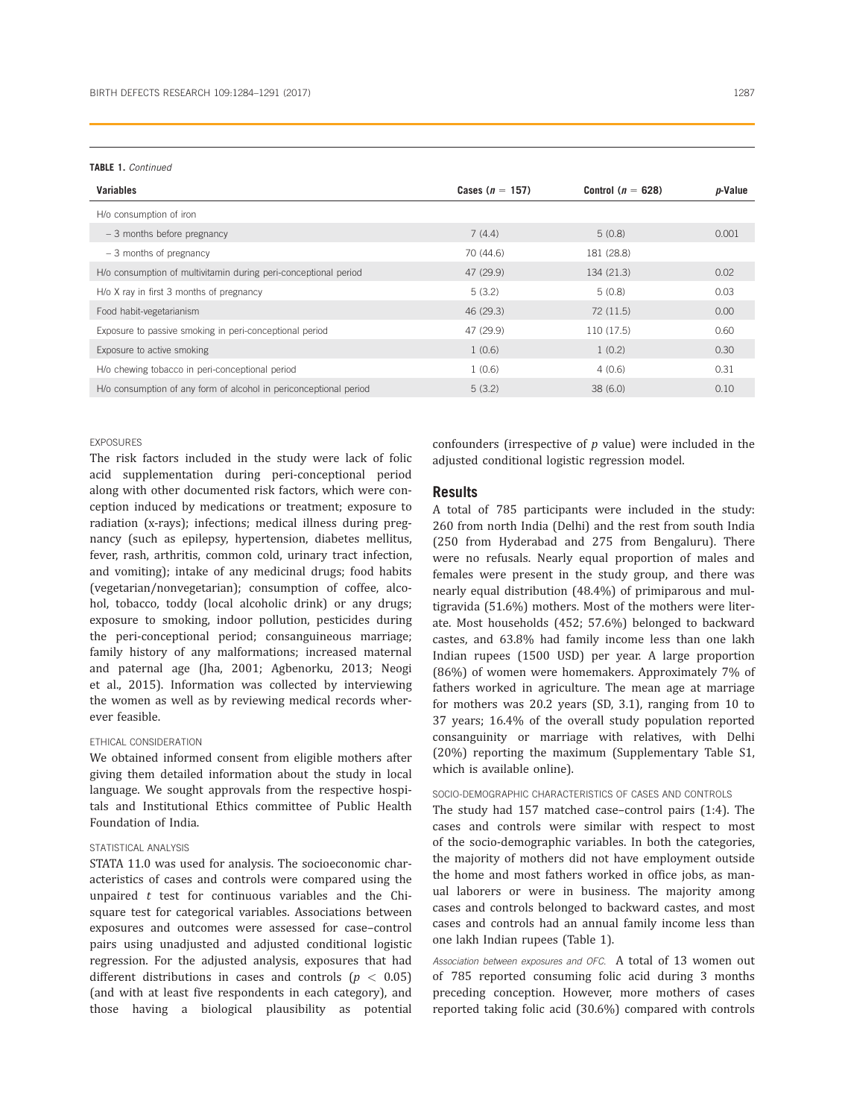#### TABLE 1. Continued

| Variables                                                         | Cases ( $n = 157$ ) | Control ( $n = 628$ ) | $p$ -Value |
|-------------------------------------------------------------------|---------------------|-----------------------|------------|
| H/o consumption of iron                                           |                     |                       |            |
| - 3 months before pregnancy                                       | 7(4.4)              | 5(0.8)                | 0.001      |
| -3 months of pregnancy                                            | 70 (44.6)           | 181 (28.8)            |            |
| H/o consumption of multivitamin during peri-conceptional period   | 47 (29.9)           | 134 (21.3)            | 0.02       |
| H/o X ray in first 3 months of pregnancy                          | 5(3.2)              | 5(0.8)                | 0.03       |
| Food habit-vegetarianism                                          | 46 (29.3)           | 72 (11.5)             | 0.00       |
| Exposure to passive smoking in peri-conceptional period           | 47 (29.9)           | 110 (17.5)            | 0.60       |
| Exposure to active smoking                                        | 1(0.6)              | 1(0.2)                | 0.30       |
| H/o chewing tobacco in peri-conceptional period                   | 1(0.6)              | 4(0.6)                | 0.31       |
| H/o consumption of any form of alcohol in periconceptional period | 5(3.2)              | 38(6.0)               | 0.10       |

#### EXPOSURES

The risk factors included in the study were lack of folic acid supplementation during peri-conceptional period along with other documented risk factors, which were conception induced by medications or treatment; exposure to radiation (x-rays); infections; medical illness during pregnancy (such as epilepsy, hypertension, diabetes mellitus, fever, rash, arthritis, common cold, urinary tract infection, and vomiting); intake of any medicinal drugs; food habits (vegetarian/nonvegetarian); consumption of coffee, alcohol, tobacco, toddy (local alcoholic drink) or any drugs; exposure to smoking, indoor pollution, pesticides during the peri-conceptional period; consanguineous marriage; family history of any malformations; increased maternal and paternal age (Jha, 2001; Agbenorku, 2013; Neogi et al., 2015). Information was collected by interviewing the women as well as by reviewing medical records wherever feasible.

## ETHICAL CONSIDERATION

We obtained informed consent from eligible mothers after giving them detailed information about the study in local language. We sought approvals from the respective hospitals and Institutional Ethics committee of Public Health Foundation of India.

## STATISTICAL ANALYSIS

STATA 11.0 was used for analysis. The socioeconomic characteristics of cases and controls were compared using the unpaired  $t$  test for continuous variables and the Chisquare test for categorical variables. Associations between exposures and outcomes were assessed for case–control pairs using unadjusted and adjusted conditional logistic regression. For the adjusted analysis, exposures that had different distributions in cases and controls ( $p < 0.05$ ) (and with at least five respondents in each category), and those having a biological plausibility as potential

confounders (irrespective of  $p$  value) were included in the adjusted conditional logistic regression model.

# **Results**

A total of 785 participants were included in the study: 260 from north India (Delhi) and the rest from south India (250 from Hyderabad and 275 from Bengaluru). There were no refusals. Nearly equal proportion of males and females were present in the study group, and there was nearly equal distribution (48.4%) of primiparous and multigravida (51.6%) mothers. Most of the mothers were literate. Most households (452; 57.6%) belonged to backward castes, and 63.8% had family income less than one lakh Indian rupees (1500 USD) per year. A large proportion (86%) of women were homemakers. Approximately 7% of fathers worked in agriculture. The mean age at marriage for mothers was 20.2 years (SD, 3.1), ranging from 10 to 37 years; 16.4% of the overall study population reported consanguinity or marriage with relatives, with Delhi (20%) reporting the maximum (Supplementary Table S1, which is available online).

## SOCIO-DEMOGRAPHIC CHARACTERISTICS OF CASES AND CONTROLS

The study had 157 matched case–control pairs (1:4). The cases and controls were similar with respect to most of the socio-demographic variables. In both the categories, the majority of mothers did not have employment outside the home and most fathers worked in office jobs, as manual laborers or were in business. The majority among cases and controls belonged to backward castes, and most cases and controls had an annual family income less than one lakh Indian rupees (Table 1).

Association between exposures and OFC. A total of 13 women out of 785 reported consuming folic acid during 3 months preceding conception. However, more mothers of cases reported taking folic acid (30.6%) compared with controls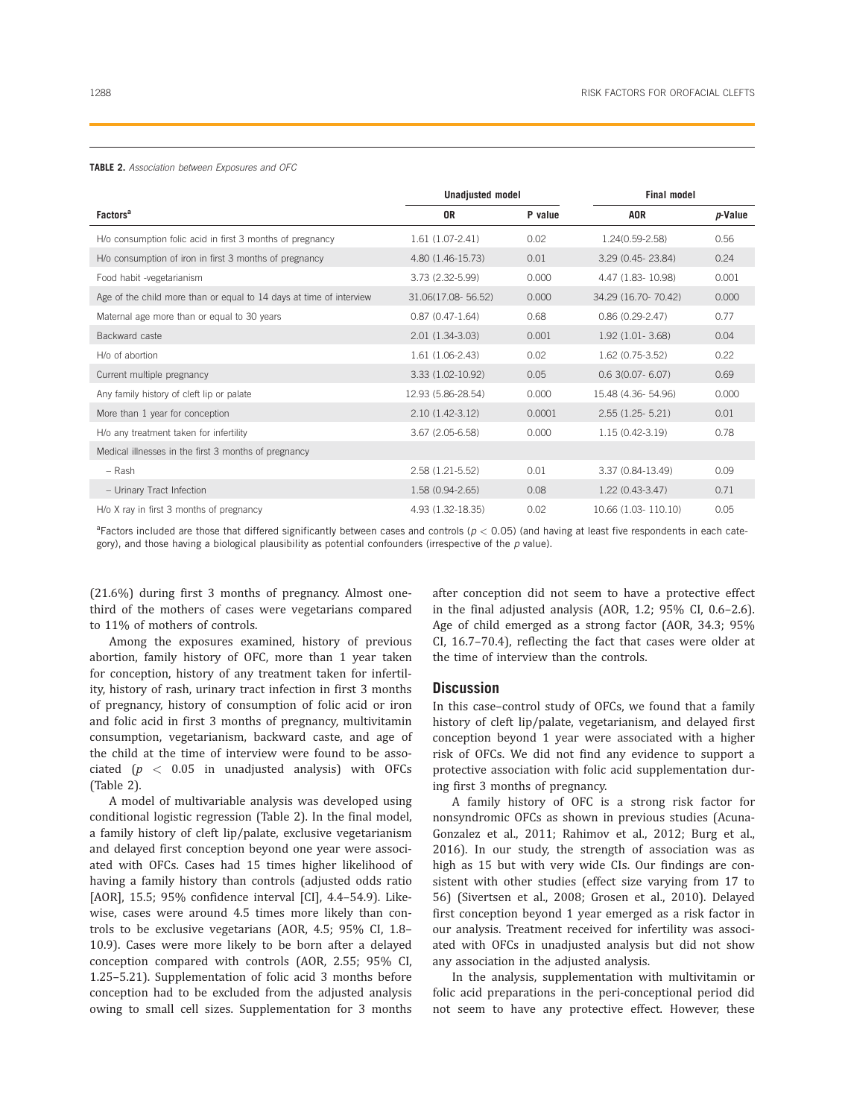#### TABLE 2. Association between Exposures and OFC

|                                                                     | <b>Unadjusted model</b> |         | <b>Final model</b>  |            |
|---------------------------------------------------------------------|-------------------------|---------|---------------------|------------|
| <b>Factors<sup>a</sup></b>                                          | 0R                      | P value | <b>AOR</b>          | $p$ -Value |
| H/o consumption folic acid in first 3 months of pregnancy           | $1.61(1.07-2.41)$       | 0.02    | 1.24(0.59-2.58)     | 0.56       |
| H/o consumption of iron in first 3 months of pregnancy              | 4.80 (1.46-15.73)       | 0.01    | 3.29 (0.45-23.84)   | 0.24       |
| Food habit -vegetarianism                                           | 3.73 (2.32-5.99)        | 0.000   | 4.47 (1.83-10.98)   | 0.001      |
| Age of the child more than or equal to 14 days at time of interview | 31.06(17.08-56.52)      | 0.000   | 34.29 (16.70-70.42) | 0.000      |
| Maternal age more than or equal to 30 years                         | $0.87(0.47-1.64)$       | 0.68    | $0.86(0.29-2.47)$   | 0.77       |
| Backward caste                                                      | $2.01(1.34-3.03)$       | 0.001   | $1.92(1.01 - 3.68)$ | 0.04       |
| H/o of abortion                                                     | $1.61(1.06-2.43)$       | 0.02    | 1.62 (0.75-3.52)    | 0.22       |
| Current multiple pregnancy                                          | 3.33 (1.02-10.92)       | 0.05    | $0.6$ 3(0.07-6.07)  | 0.69       |
| Any family history of cleft lip or palate                           | 12.93 (5.86-28.54)      | 0.000   | 15.48 (4.36-54.96)  | 0.000      |
| More than 1 year for conception                                     | $2.10(1.42-3.12)$       | 0.0001  | $2.55(1.25 - 5.21)$ | 0.01       |
| H/o any treatment taken for infertility                             | 3.67 (2.05-6.58)        | 0.000   | $1.15(0.42 - 3.19)$ | 0.78       |
| Medical illnesses in the first 3 months of pregnancy                |                         |         |                     |            |
| - Rash                                                              | 2.58 (1.21-5.52)        | 0.01    | 3.37 (0.84-13.49)   | 0.09       |
| - Urinary Tract Infection                                           | $1.58(0.94 - 2.65)$     | 0.08    | $1.22(0.43-3.47)$   | 0.71       |
| H/o X ray in first 3 months of pregnancy                            | 4.93 (1.32-18.35)       | 0.02    | 10.66 (1.03-110.10) | 0.05       |

<sup>a</sup>Factors included are those that differed significantly between cases and controls ( $p < 0.05$ ) (and having at least five respondents in each category), and those having a biological plausibility as potential confounders (irrespective of the p value).

(21.6%) during first 3 months of pregnancy. Almost onethird of the mothers of cases were vegetarians compared to 11% of mothers of controls.

Among the exposures examined, history of previous abortion, family history of OFC, more than 1 year taken for conception, history of any treatment taken for infertility, history of rash, urinary tract infection in first 3 months of pregnancy, history of consumption of folic acid or iron and folic acid in first 3 months of pregnancy, multivitamin consumption, vegetarianism, backward caste, and age of the child at the time of interview were found to be associated ( $p < 0.05$  in unadjusted analysis) with OFCs (Table 2).

A model of multivariable analysis was developed using conditional logistic regression (Table 2). In the final model, a family history of cleft lip/palate, exclusive vegetarianism and delayed first conception beyond one year were associated with OFCs. Cases had 15 times higher likelihood of having a family history than controls (adjusted odds ratio [AOR], 15.5; 95% confidence interval [CI], 4.4–54.9). Likewise, cases were around 4.5 times more likely than controls to be exclusive vegetarians (AOR, 4.5; 95% CI, 1.8– 10.9). Cases were more likely to be born after a delayed conception compared with controls (AOR, 2.55; 95% CI, 1.25–5.21). Supplementation of folic acid 3 months before conception had to be excluded from the adjusted analysis owing to small cell sizes. Supplementation for 3 months

after conception did not seem to have a protective effect in the final adjusted analysis (AOR, 1.2; 95% CI, 0.6–2.6). Age of child emerged as a strong factor (AOR, 34.3; 95% CI, 16.7–70.4), reflecting the fact that cases were older at the time of interview than the controls.

## **Discussion**

In this case–control study of OFCs, we found that a family history of cleft lip/palate, vegetarianism, and delayed first conception beyond 1 year were associated with a higher risk of OFCs. We did not find any evidence to support a protective association with folic acid supplementation during first 3 months of pregnancy.

A family history of OFC is a strong risk factor for nonsyndromic OFCs as shown in previous studies (Acuna-Gonzalez et al., 2011; Rahimov et al., 2012; Burg et al., 2016). In our study, the strength of association was as high as 15 but with very wide CIs. Our findings are consistent with other studies (effect size varying from 17 to 56) (Sivertsen et al., 2008; Grosen et al., 2010). Delayed first conception beyond 1 year emerged as a risk factor in our analysis. Treatment received for infertility was associated with OFCs in unadjusted analysis but did not show any association in the adjusted analysis.

In the analysis, supplementation with multivitamin or folic acid preparations in the peri-conceptional period did not seem to have any protective effect. However, these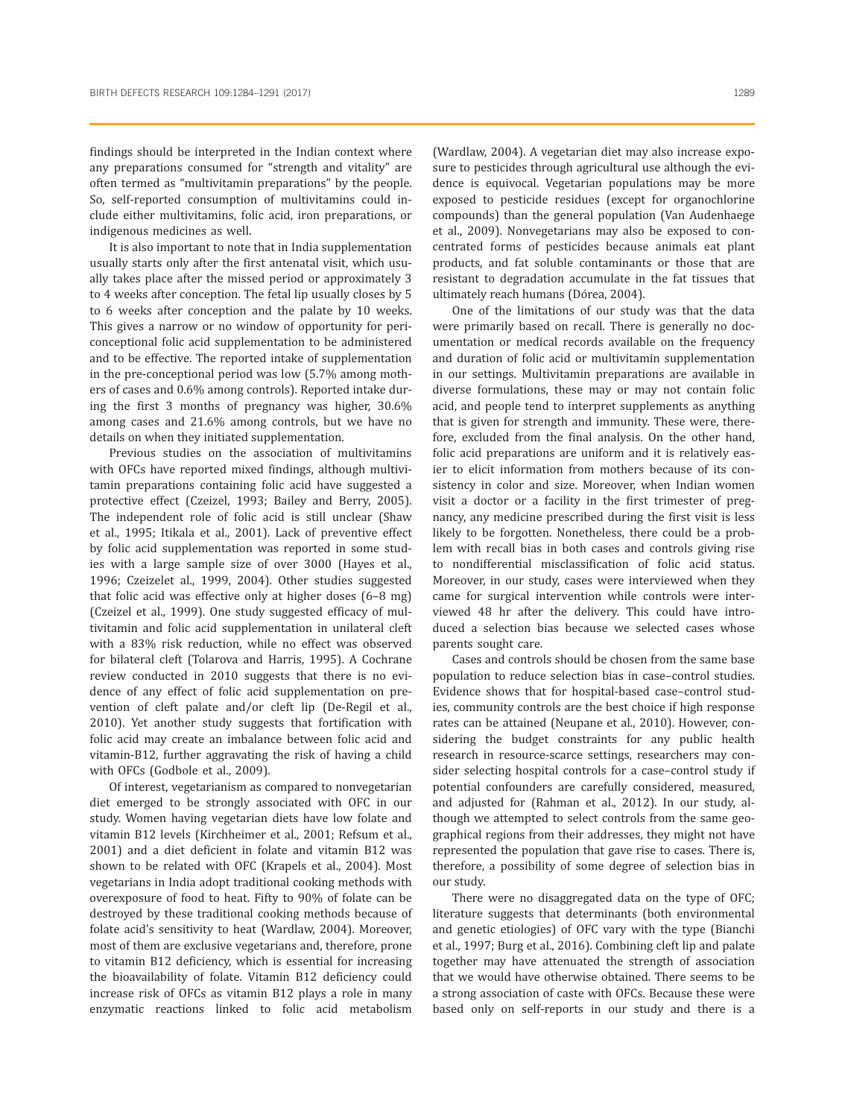findings should be interpreted in the Indian context where any preparations consumed for "strength and vitality" are often termed as "multivitamin preparations" by the people. So, self-reported consumption of multivitamins could include either multivitamins, folic acid, iron preparations, or indigenous medicines as well.

It is also important to note that in India supplementation usually starts only after the first antenatal visit, which usually takes place after the missed period or approximately 3 to 4 weeks after conception. The fetal lip usually closes by 5 to 6 weeks after conception and the palate by 10 weeks. This gives a narrow or no window of opportunity for periconceptional folic acid supplementation to be administered and to be effective. The reported intake of supplementation in the pre-conceptional period was low (5.7% among mothers of cases and 0.6% among controls). Reported intake during the first 3 months of pregnancy was higher, 30.6% among cases and 21.6% among controls, but we have no details on when they initiated supplementation.

Previous studies on the association of multivitamins with OFCs have reported mixed findings, although multivitamin preparations containing folic acid have suggested a protective effect (Czeizel, 1993; Bailey and Berry, 2005). The independent role of folic acid is still unclear (Shaw et al., 1995; Itikala et al., 2001). Lack of preventive effect by folic acid supplementation was reported in some studies with a large sample size of over 3000 (Hayes et al., 1996; Czeizelet al., 1999, 2004). Other studies suggested that folic acid was effective only at higher doses (6–8 mg) (Czeizel et al., 1999). One study suggested efficacy of multivitamin and folic acid supplementation in unilateral cleft with a 83% risk reduction, while no effect was observed for bilateral cleft (Tolarova and Harris, 1995). A Cochrane review conducted in 2010 suggests that there is no evidence of any effect of folic acid supplementation on prevention of cleft palate and/or cleft lip (De-Regil et al., 2010). Yet another study suggests that fortification with folic acid may create an imbalance between folic acid and vitamin-B12, further aggravating the risk of having a child with OFCs (Godbole et al., 2009).

Of interest, vegetarianism as compared to nonvegetarian diet emerged to be strongly associated with OFC in our study. Women having vegetarian diets have low folate and vitamin B12 levels (Kirchheimer et al., 2001; Refsum et al., 2001) and a diet deficient in folate and vitamin B12 was shown to be related with OFC (Krapels et al., 2004). Most vegetarians in India adopt traditional cooking methods with overexposure of food to heat. Fifty to 90% of folate can be destroyed by these traditional cooking methods because of folate acid's sensitivity to heat (Wardlaw, 2004). Moreover, most of them are exclusive vegetarians and, therefore, prone to vitamin B12 deficiency, which is essential for increasing the bioavailability of folate. Vitamin B12 deficiency could increase risk of OFCs as vitamin B12 plays a role in many enzymatic reactions linked to folic acid metabolism

(Wardlaw, 2004). A vegetarian diet may also increase exposure to pesticides through agricultural use although the evidence is equivocal. Vegetarian populations may be more exposed to pesticide residues (except for organochlorine compounds) than the general population (Van Audenhaege et al., 2009). Nonvegetarians may also be exposed to concentrated forms of pesticides because animals eat plant products, and fat soluble contaminants or those that are resistant to degradation accumulate in the fat tissues that ultimately reach humans (Dórea, 2004).

One of the limitations of our study was that the data were primarily based on recall. There is generally no documentation or medical records available on the frequency and duration of folic acid or multivitamin supplementation in our settings. Multivitamin preparations are available in diverse formulations, these may or may not contain folic acid, and people tend to interpret supplements as anything that is given for strength and immunity. These were, therefore, excluded from the final analysis. On the other hand, folic acid preparations are uniform and it is relatively easier to elicit information from mothers because of its consistency in color and size. Moreover, when Indian women visit a doctor or a facility in the first trimester of pregnancy, any medicine prescribed during the first visit is less likely to be forgotten. Nonetheless, there could be a problem with recall bias in both cases and controls giving rise to nondifferential misclassification of folic acid status. Moreover, in our study, cases were interviewed when they came for surgical intervention while controls were interviewed 48 hr after the delivery. This could have introduced a selection bias because we selected cases whose parents sought care.

Cases and controls should be chosen from the same base population to reduce selection bias in case–control studies. Evidence shows that for hospital-based case–control studies, community controls are the best choice if high response rates can be attained (Neupane et al., 2010). However, considering the budget constraints for any public health research in resource-scarce settings, researchers may consider selecting hospital controls for a case–control study if potential confounders are carefully considered, measured, and adjusted for (Rahman et al., 2012). In our study, although we attempted to select controls from the same geographical regions from their addresses, they might not have represented the population that gave rise to cases. There is, therefore, a possibility of some degree of selection bias in our study.

There were no disaggregated data on the type of OFC; literature suggests that determinants (both environmental and genetic etiologies) of OFC vary with the type (Bianchi et al., 1997; Burg et al., 2016). Combining cleft lip and palate together may have attenuated the strength of association that we would have otherwise obtained. There seems to be a strong association of caste with OFCs. Because these were based only on self-reports in our study and there is a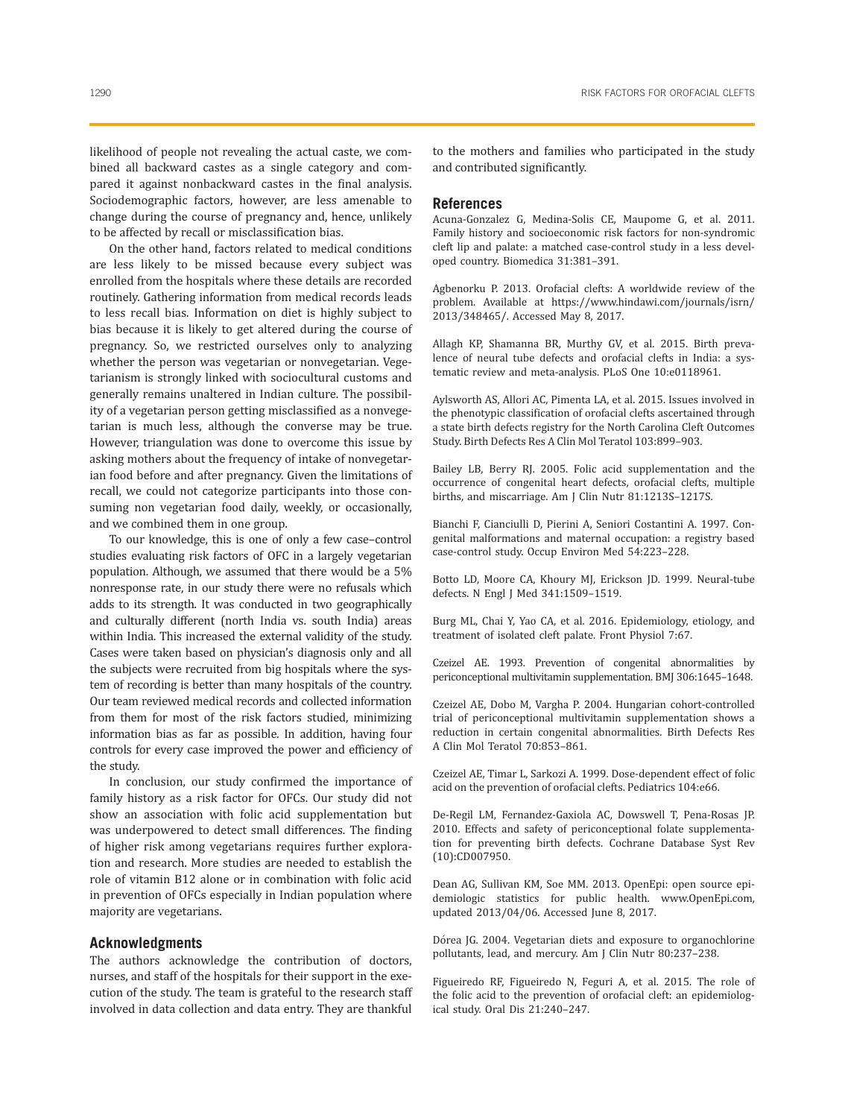likelihood of people not revealing the actual caste, we combined all backward castes as a single category and compared it against nonbackward castes in the final analysis. Sociodemographic factors, however, are less amenable to change during the course of pregnancy and, hence, unlikely to be affected by recall or misclassification bias.

On the other hand, factors related to medical conditions are less likely to be missed because every subject was enrolled from the hospitals where these details are recorded routinely. Gathering information from medical records leads to less recall bias. Information on diet is highly subject to bias because it is likely to get altered during the course of pregnancy. So, we restricted ourselves only to analyzing whether the person was vegetarian or nonvegetarian. Vegetarianism is strongly linked with sociocultural customs and generally remains unaltered in Indian culture. The possibility of a vegetarian person getting misclassified as a nonvegetarian is much less, although the converse may be true. However, triangulation was done to overcome this issue by asking mothers about the frequency of intake of nonvegetarian food before and after pregnancy. Given the limitations of recall, we could not categorize participants into those consuming non vegetarian food daily, weekly, or occasionally, and we combined them in one group.

To our knowledge, this is one of only a few case–control studies evaluating risk factors of OFC in a largely vegetarian population. Although, we assumed that there would be a 5% nonresponse rate, in our study there were no refusals which adds to its strength. It was conducted in two geographically and culturally different (north India vs. south India) areas within India. This increased the external validity of the study. Cases were taken based on physician's diagnosis only and all the subjects were recruited from big hospitals where the system of recording is better than many hospitals of the country. Our team reviewed medical records and collected information from them for most of the risk factors studied, minimizing information bias as far as possible. In addition, having four controls for every case improved the power and efficiency of the study.

In conclusion, our study confirmed the importance of family history as a risk factor for OFCs. Our study did not show an association with folic acid supplementation but was underpowered to detect small differences. The finding of higher risk among vegetarians requires further exploration and research. More studies are needed to establish the role of vitamin B12 alone or in combination with folic acid in prevention of OFCs especially in Indian population where majority are vegetarians.

## **Acknowledgments**

The authors acknowledge the contribution of doctors, nurses, and staff of the hospitals for their support in the execution of the study. The team is grateful to the research staff involved in data collection and data entry. They are thankful

to the mothers and families who participated in the study and contributed significantly.

## References

Acuna-Gonzalez G, Medina-Solis CE, Maupome G, et al. 2011. Family history and socioeconomic risk factors for non-syndromic cleft lip and palate: a matched case-control study in a less developed country. Biomedica 31:381–391.

Agbenorku P. 2013. Orofacial clefts: A worldwide review of the problem. Available at [https://www.hindawi.com/journals/isrn/](https://www.hindawi.com/journals/isrn/2013/348465/) [2013/348465/](https://www.hindawi.com/journals/isrn/2013/348465/). Accessed May 8, 2017.

Allagh KP, Shamanna BR, Murthy GV, et al. 2015. Birth prevalence of neural tube defects and orofacial clefts in India: a systematic review and meta-analysis. PLoS One 10:e0118961.

Aylsworth AS, Allori AC, Pimenta LA, et al. 2015. Issues involved in the phenotypic classification of orofacial clefts ascertained through a state birth defects registry for the North Carolina Cleft Outcomes Study. Birth Defects Res A Clin Mol Teratol 103:899–903.

Bailey LB, Berry RJ. 2005. Folic acid supplementation and the occurrence of congenital heart defects, orofacial clefts, multiple births, and miscarriage. Am J Clin Nutr 81:1213S–1217S.

Bianchi F, Cianciulli D, Pierini A, Seniori Costantini A. 1997. Congenital malformations and maternal occupation: a registry based case-control study. Occup Environ Med 54:223–228.

Botto LD, Moore CA, Khoury MJ, Erickson JD. 1999. Neural-tube defects. N Engl J Med 341:1509–1519.

Burg ML, Chai Y, Yao CA, et al. 2016. Epidemiology, etiology, and treatment of isolated cleft palate. Front Physiol 7:67.

Czeizel AE. 1993. Prevention of congenital abnormalities by periconceptional multivitamin supplementation. BMJ 306:1645–1648.

Czeizel AE, Dobo M, Vargha P. 2004. Hungarian cohort-controlled trial of periconceptional multivitamin supplementation shows a reduction in certain congenital abnormalities. Birth Defects Res A Clin Mol Teratol 70:853–861.

Czeizel AE, Timar L, Sarkozi A. 1999. Dose-dependent effect of folic acid on the prevention of orofacial clefts. Pediatrics 104:e66.

De-Regil LM, Fernandez-Gaxiola AC, Dowswell T, Pena-Rosas JP. 2010. Effects and safety of periconceptional folate supplementation for preventing birth defects. Cochrane Database Syst Rev (10):CD007950.

Dean AG, Sullivan KM, Soe MM. 2013. OpenEpi: open source epidemiologic statistics for public health. [www.OpenEpi.com](http://www.OpenEpi.com), updated 2013/04/06. Accessed June 8, 2017.

Dórea JG. 2004. Vegetarian diets and exposure to organochlorine pollutants, lead, and mercury. Am J Clin Nutr 80:237–238.

Figueiredo RF, Figueiredo N, Feguri A, et al. 2015. The role of the folic acid to the prevention of orofacial cleft: an epidemiological study. Oral Dis 21:240–247.